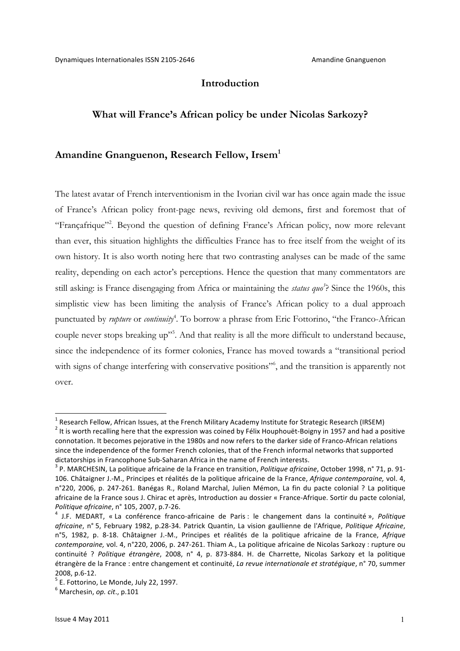## **Introduction**

### **What will France's African policy be under Nicolas Sarkozy?**

### **Amandine Gnanguenon, Research Fellow, Irsem1**

The latest avatar of French interventionism in the Ivorian civil war has once again made the issue of France's African policy front-page news, reviving old demons, first and foremost that of "Françafrique"<sup>2</sup>. Beyond the question of defining France's African policy, now more relevant than ever, this situation highlights the difficulties France has to free itself from the weight of its own history. It is also worth noting here that two contrasting analyses can be made of the same reality, depending on each actor's perceptions. Hence the question that many commentators are still asking: is France disengaging from Africa or maintaining the *status quo*<sup>2</sup>? Since the 1960s, this simplistic view has been limiting the analysis of France's African policy to a dual approach punctuated by *rupture* or *continuity*<sup>4</sup>. To borrow a phrase from Eric Fottorino, "the Franco-African couple never stops breaking up"<sup>5</sup>. And that reality is all the more difficult to understand because, since the independence of its former colonies, France has moved towards a "transitional period with signs of change interfering with conservative positions", and the transition is apparently not over.

 $1$  Research Fellow, African Issues, at the French Military Academy Institute for Strategic Research (IRSEM)  $2$  It is worth recalling here that the expression was coined by Félix Houphouët-Boigny in 1957 and had a positive connotation. It becomes pejorative in the 1980s and now refers to the darker side of Franco-African relations since the independence of the former French colonies, that of the French informal networks that supported dictatorships in Francophone Sub-Saharan Africa in the name of French interests.<br><sup>3</sup> P. MARCHESIN, La politique africaine de la France en transition, *Politique africaine*, October 1998, n° 71, p. 91-

<sup>106.</sup> Châtaigner J.-M., Principes et réalités de la politique africaine de la France, *Afrique contemporaine*, vol. 4, n°220, 2006, p. 247-261. Banégas R., Roland Marchal, Julien Mémon, La fin du pacte colonial ? La politique africaine de la France sous J. Chirac et après, Introduction au dossier « France-Afrique. Sortir du pacte colonial, *Politique africaine*, n° 105, 2007, p.7-26.<br><sup>4</sup> J.F. MEDART, « La conférence franco-africaine de Paris : le changement dans la continuité », *Politique* 

africaine, n° 5, February 1982, p.28-34. Patrick Quantin, La vision gaullienne de l'Afrique, Politique Africaine, n°5, 1982, p. 8-18. Châtaigner J.-M., Principes et réalités de la politique africaine de la France, Afrique *contemporaine,* vol. 4, n°220, 2006, p. 247-261. Thiam A., La politique africaine de Nicolas Sarkozy : rupture ou continuité ? Politique étrangère, 2008, n° 4, p. 873-884. H. de Charrette, Nicolas Sarkozy et la politique étrangère de la France : entre changement et continuité, *La revue internationale et stratégique*, n° 70, summer 2008, p.6-12.  $5$  E. Fottorino, Le Monde, July 22, 1997.

 $<sup>6</sup>$  Marchesin, op. cit., p.101</sup>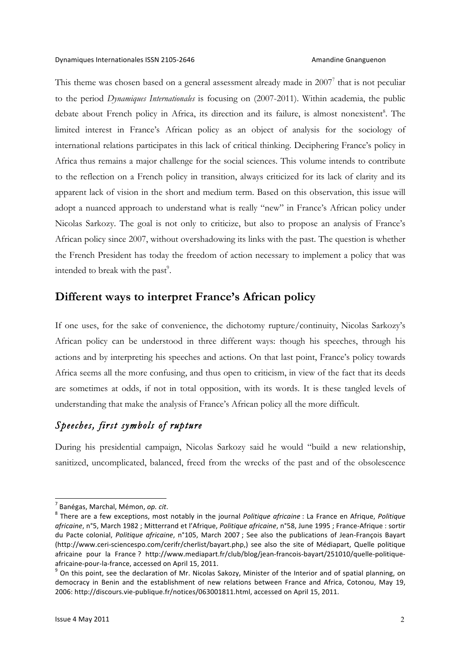This theme was chosen based on a general assessment already made in 2007<sup>7</sup> that is not peculiar to the period *Dynamiques Internationales* is focusing on (2007-2011). Within academia, the public debate about French policy in Africa, its direction and its failure, is almost nonexistent<sup>8</sup>. The limited interest in France's African policy as an object of analysis for the sociology of international relations participates in this lack of critical thinking. Deciphering France's policy in Africa thus remains a major challenge for the social sciences. This volume intends to contribute to the reflection on a French policy in transition, always criticized for its lack of clarity and its apparent lack of vision in the short and medium term. Based on this observation, this issue will adopt a nuanced approach to understand what is really "new" in France's African policy under Nicolas Sarkozy. The goal is not only to criticize, but also to propose an analysis of France's African policy since 2007, without overshadowing its links with the past. The question is whether the French President has today the freedom of action necessary to implement a policy that was intended to break with the past $\degree$ .

# **Different ways to interpret France's African policy**

If one uses, for the sake of convenience, the dichotomy rupture/continuity, Nicolas Sarkozy's African policy can be understood in three different ways: though his speeches, through his actions and by interpreting his speeches and actions. On that last point, France's policy towards Africa seems all the more confusing, and thus open to criticism, in view of the fact that its deeds are sometimes at odds, if not in total opposition, with its words. It is these tangled levels of understanding that make the analysis of France's African policy all the more difficult.

# *Speeches, first symbols of rupture*

During his presidential campaign, Nicolas Sarkozy said he would "build a new relationship, sanitized, uncomplicated, balanced, freed from the wrecks of the past and of the obsolescence

<sup>&</sup>lt;sup>7</sup> Banégas, Marchal, Mémon, *op. cit*.<br><sup>8</sup> There are a few exceptions, most notably in the journal *Politique africaine* : La France en Afrique, *Politique* africaine, n°5, March 1982 ; Mitterrand et l'Afrique, *Politique africaine*, n°58, June 1995 ; France-Afrique : sortir du Pacte colonial, *Politique africaine*, n°105, March 2007 ; See also the publications of Jean-François Bayart (http://www.ceri-sciencespo.com/cerifr/cherlist/bayart.php,) see also the site of Médiapart, Quelle politique africaine pour la France ? http://www.mediapart.fr/club/blog/jean-francois-bayart/251010/quelle-politiqueafricaine-pour-la-france, accessed on April 15, 2011.<br><sup>9</sup> On this point, see the declaration of Mr. Nicolas Sakozy, Minister of the Interior and of spatial planning, on

democracy in Benin and the establishment of new relations between France and Africa, Cotonou, May 19, 2006: http://discours.vie-publique.fr/notices/063001811.html, accessed on April 15, 2011.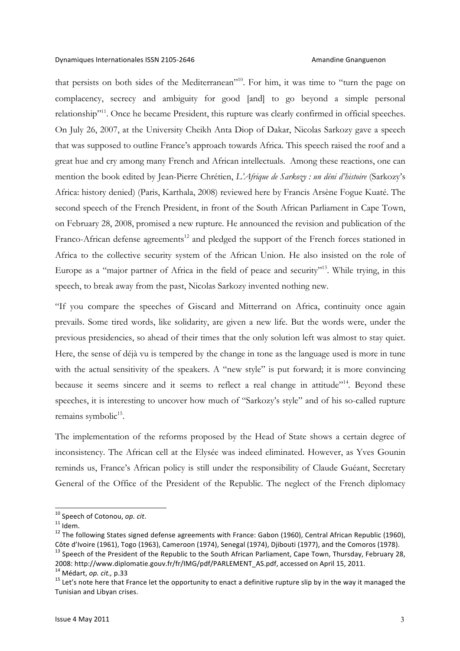that persists on both sides of the Mediterranean"10. For him, it was time to "turn the page on complacency, secrecy and ambiguity for good [and] to go beyond a simple personal relationship<sup>"11</sup>. Once he became President, this rupture was clearly confirmed in official speeches. On July 26, 2007, at the University Cheikh Anta Diop of Dakar, Nicolas Sarkozy gave a speech that was supposed to outline France's approach towards Africa. This speech raised the roof and a great hue and cry among many French and African intellectuals. Among these reactions, one can mention the book edited by Jean-Pierre Chrétien, *L'Afrique de Sarkozy : un déni d'histoire* (Sarkozy's Africa: history denied) (Paris, Karthala, 2008) reviewed here by Francis Arsène Fogue Kuaté. The second speech of the French President, in front of the South African Parliament in Cape Town, on February 28, 2008, promised a new rupture. He announced the revision and publication of the Franco-African defense agreements<sup>12</sup> and pledged the support of the French forces stationed in Africa to the collective security system of the African Union. He also insisted on the role of Europe as a "major partner of Africa in the field of peace and security"<sup>13</sup>. While trying, in this speech, to break away from the past, Nicolas Sarkozy invented nothing new.

"If you compare the speeches of Giscard and Mitterrand on Africa, continuity once again prevails. Some tired words, like solidarity, are given a new life. But the words were, under the previous presidencies, so ahead of their times that the only solution left was almost to stay quiet. Here, the sense of déjà vu is tempered by the change in tone as the language used is more in tune with the actual sensitivity of the speakers. A "new style" is put forward; it is more convincing because it seems sincere and it seems to reflect a real change in attitude"<sup>14</sup>. Beyond these speeches, it is interesting to uncover how much of "Sarkozy's style" and of his so-called rupture remains symbolic<sup>15</sup>.

The implementation of the reforms proposed by the Head of State shows a certain degree of inconsistency. The African cell at the Elysée was indeed eliminated. However, as Yves Gounin reminds us, France's African policy is still under the responsibility of Claude Guéant, Secretary General of the Office of the President of the Republic. The neglect of the French diplomacy

<sup>&</sup>lt;sup>10</sup> Speech of Cotonou, *op. cit.*<br><sup>11</sup> Idem.<br><sup>12</sup> The following States signed defense agreements with France: Gabon (1960), Central African Republic (1960), Côte d'Ivoire (1961), Togo (1963), Cameroon (1974), Senegal (1974), Djibouti (1977), and the Comoros (1978).<br><sup>13</sup> Speech of the President of the Republic to the South African Parliament, Cape Town, Thursday, February 28,

<sup>2008:</sup> http://www.diplomatie.gouv.fr/fr/IMG/pdf/PARLEMENT\_AS.pdf, accessed on April 15, 2011.<br><sup>14</sup> Médart, op. cit., p.33<br><sup>15</sup> Let's note here that France let the opportunity to enact a definitive rupture slip by in the wa

Tunisian and Libyan crises.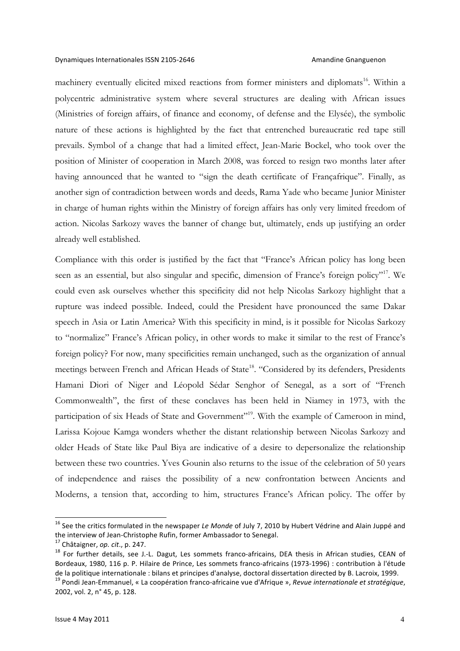### Dynamiques Internationales ISSN 2105-2646 Amandine Gnanguenon

machinery eventually elicited mixed reactions from former ministers and diplomats<sup>16</sup>. Within a polycentric administrative system where several structures are dealing with African issues (Ministries of foreign affairs, of finance and economy, of defense and the Elysée), the symbolic nature of these actions is highlighted by the fact that entrenched bureaucratic red tape still prevails. Symbol of a change that had a limited effect, Jean-Marie Bockel, who took over the position of Minister of cooperation in March 2008, was forced to resign two months later after having announced that he wanted to "sign the death certificate of Françafrique". Finally, as another sign of contradiction between words and deeds, Rama Yade who became Junior Minister in charge of human rights within the Ministry of foreign affairs has only very limited freedom of action. Nicolas Sarkozy waves the banner of change but, ultimately, ends up justifying an order already well established.

Compliance with this order is justified by the fact that "France's African policy has long been seen as an essential, but also singular and specific, dimension of France's foreign policy"<sup>17</sup>. We could even ask ourselves whether this specificity did not help Nicolas Sarkozy highlight that a rupture was indeed possible. Indeed, could the President have pronounced the same Dakar speech in Asia or Latin America? With this specificity in mind, is it possible for Nicolas Sarkozy to "normalize" France's African policy, in other words to make it similar to the rest of France's foreign policy? For now, many specificities remain unchanged, such as the organization of annual meetings between French and African Heads of State<sup>18</sup>. "Considered by its defenders, Presidents Hamani Diori of Niger and Léopold Sédar Senghor of Senegal, as a sort of "French Commonwealth", the first of these conclaves has been held in Niamey in 1973, with the participation of six Heads of State and Government"<sup>19</sup>. With the example of Cameroon in mind, Larissa Kojoue Kamga wonders whether the distant relationship between Nicolas Sarkozy and older Heads of State like Paul Biya are indicative of a desire to depersonalize the relationship between these two countries. Yves Gounin also returns to the issue of the celebration of 50 years of independence and raises the possibility of a new confrontation between Ancients and Moderns, a tension that, according to him, structures France's African policy. The offer by

<sup>&</sup>lt;sup>16</sup> See the critics formulated in the newspaper *Le Monde* of July 7, 2010 by Hubert Védrine and Alain Juppé and the interview of Jean-Christophe Rufin, former Ambassador to Senegal.

<sup>&</sup>lt;sup>17</sup> Châtaigner, op. cit., p. 247.<br><sup>18</sup> For further details, see J.-L. Dagut, Les sommets franco-africains, DEA thesis in African studies, CEAN of Bordeaux, 1980, 116 p. P. Hilaire de Prince, Les sommets franco-africains (1973-1996) : contribution à l'étude de la politique internationale : bilans et principes d'analyse, doctoral dissertation directed by B. Lacroix, 1999.<br><sup>19</sup> Pondi Jean-Emmanuel, « La coopération franco-africaine vue d'Afrique », *Revue internationale et stra* 

<sup>2002,</sup> vol. 2, n° 45, p. 128.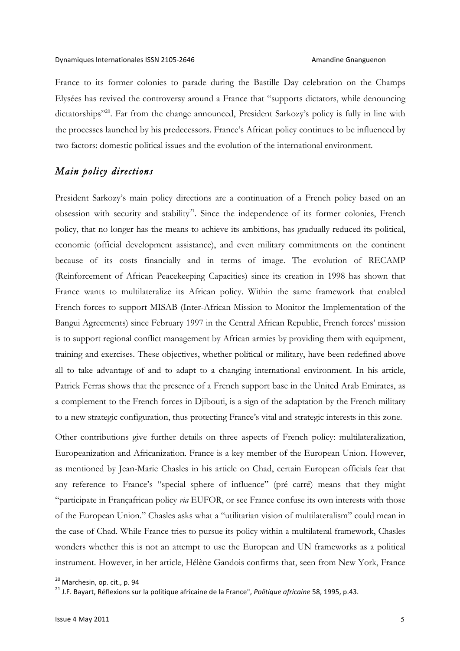France to its former colonies to parade during the Bastille Day celebration on the Champs Elysées has revived the controversy around a France that "supports dictators, while denouncing dictatorships"<sup>20</sup>. Far from the change announced, President Sarkozy's policy is fully in line with the processes launched by his predecessors. France's African policy continues to be influenced by two factors: domestic political issues and the evolution of the international environment.

## *Main policy directions*

President Sarkozy's main policy directions are a continuation of a French policy based on an obsession with security and stability<sup>21</sup>. Since the independence of its former colonies, French policy, that no longer has the means to achieve its ambitions, has gradually reduced its political, economic (official development assistance), and even military commitments on the continent because of its costs financially and in terms of image. The evolution of RECAMP (Reinforcement of African Peacekeeping Capacities) since its creation in 1998 has shown that France wants to multilateralize its African policy. Within the same framework that enabled French forces to support MISAB (Inter-African Mission to Monitor the Implementation of the Bangui Agreements) since February 1997 in the Central African Republic, French forces' mission is to support regional conflict management by African armies by providing them with equipment, training and exercises. These objectives, whether political or military, have been redefined above all to take advantage of and to adapt to a changing international environment. In his article, Patrick Ferras shows that the presence of a French support base in the United Arab Emirates, as a complement to the French forces in Djibouti, is a sign of the adaptation by the French military to a new strategic configuration, thus protecting France's vital and strategic interests in this zone.

Other contributions give further details on three aspects of French policy: multilateralization, Europeanization and Africanization. France is a key member of the European Union. However, as mentioned by Jean-Marie Chasles in his article on Chad, certain European officials fear that any reference to France's "special sphere of influence" (pré carré) means that they might "participate in Françafrican policy *via* EUFOR, or see France confuse its own interests with those of the European Union." Chasles asks what a "utilitarian vision of multilateralism" could mean in the case of Chad. While France tries to pursue its policy within a multilateral framework, Chasles wonders whether this is not an attempt to use the European and UN frameworks as a political instrument. However, in her article, Hélène Gandois confirms that, seen from New York, France

<sup>&</sup>lt;sup>20</sup> Marchesin, op. cit., p. 94<br><sup>21</sup> J.F. Bayart, Réflexions sur la politique africaine de la France", *Politique africaine* 58, 1995, p.43.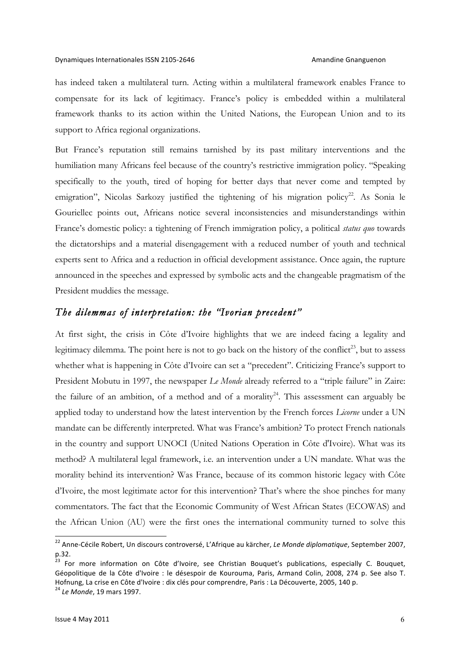has indeed taken a multilateral turn. Acting within a multilateral framework enables France to compensate for its lack of legitimacy. France's policy is embedded within a multilateral framework thanks to its action within the United Nations, the European Union and to its support to Africa regional organizations.

But France's reputation still remains tarnished by its past military interventions and the humiliation many Africans feel because of the country's restrictive immigration policy. "Speaking specifically to the youth, tired of hoping for better days that never come and tempted by emigration", Nicolas Sarkozy justified the tightening of his migration policy<sup>22</sup>. As Sonia le Gouriellec points out, Africans notice several inconsistencies and misunderstandings within France's domestic policy: a tightening of French immigration policy, a political *status quo* towards the dictatorships and a material disengagement with a reduced number of youth and technical experts sent to Africa and a reduction in official development assistance. Once again, the rupture announced in the speeches and expressed by symbolic acts and the changeable pragmatism of the President muddies the message.

### *The dilemmas of interpretation: the "Ivorian precedent"*

At first sight, the crisis in Côte d'Ivoire highlights that we are indeed facing a legality and legitimacy dilemma. The point here is not to go back on the history of the conflict<sup>23</sup>, but to assess whether what is happening in Côte d'Ivoire can set a "precedent". Criticizing France's support to President Mobutu in 1997, the newspaper *Le Monde* already referred to a "triple failure" in Zaire: the failure of an ambition, of a method and of a morality<sup>24</sup>. This assessment can arguably be applied today to understand how the latest intervention by the French forces *Licorne* under a UN mandate can be differently interpreted. What was France's ambition? To protect French nationals in the country and support UNOCI (United Nations Operation in Côte d'Ivoire). What was its method? A multilateral legal framework, i.e. an intervention under a UN mandate. What was the morality behind its intervention? Was France, because of its common historic legacy with Côte d'Ivoire, the most legitimate actor for this intervention? That's where the shoe pinches for many commentators. The fact that the Economic Community of West African States (ECOWAS) and the African Union (AU) were the first ones the international community turned to solve this

<sup>&</sup>lt;sup>22</sup> Anne-Cécile Robert, Un discours controversé, L'Afrique au kärcher, Le Monde diplomatique, September 2007, p.32. 

<sup>&</sup>lt;sup>23</sup> For more information on Côte d'Ivoire, see Christian Bouquet's publications, especially C. Bouquet, Géopolitique de la Côte d'Ivoire : le désespoir de Kourouma, Paris, Armand Colin, 2008, 274 p. See also T. Hofnung, La crise en Côte d'Ivoire : dix clés pour comprendre, Paris : La Découverte, 2005, 140 p.

<sup>&</sup>lt;sup>24</sup> *Le Monde*, 19 mars 1997.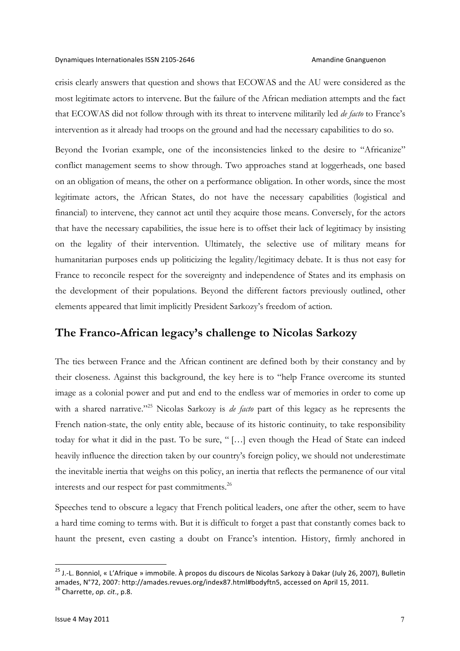### Dynamiques Internationales ISSN 2105-2646 Amandine Gnanguenon

crisis clearly answers that question and shows that ECOWAS and the AU were considered as the most legitimate actors to intervene. But the failure of the African mediation attempts and the fact that ECOWAS did not follow through with its threat to intervene militarily led *de facto* to France's intervention as it already had troops on the ground and had the necessary capabilities to do so.

Beyond the Ivorian example, one of the inconsistencies linked to the desire to "Africanize" conflict management seems to show through. Two approaches stand at loggerheads, one based on an obligation of means, the other on a performance obligation. In other words, since the most legitimate actors, the African States, do not have the necessary capabilities (logistical and financial) to intervene, they cannot act until they acquire those means. Conversely, for the actors that have the necessary capabilities, the issue here is to offset their lack of legitimacy by insisting on the legality of their intervention. Ultimately, the selective use of military means for humanitarian purposes ends up politicizing the legality/legitimacy debate. It is thus not easy for France to reconcile respect for the sovereignty and independence of States and its emphasis on the development of their populations. Beyond the different factors previously outlined, other elements appeared that limit implicitly President Sarkozy's freedom of action.

# **The Franco-African legacy's challenge to Nicolas Sarkozy**

The ties between France and the African continent are defined both by their constancy and by their closeness. Against this background, the key here is to "help France overcome its stunted image as a colonial power and put and end to the endless war of memories in order to come up with a shared narrative."25 Nicolas Sarkozy is *de facto* part of this legacy as he represents the French nation-state, the only entity able, because of its historic continuity, to take responsibility today for what it did in the past. To be sure, " […] even though the Head of State can indeed heavily influence the direction taken by our country's foreign policy, we should not underestimate the inevitable inertia that weighs on this policy, an inertia that reflects the permanence of our vital interests and our respect for past commitments.<sup>26</sup>

Speeches tend to obscure a legacy that French political leaders, one after the other, seem to have a hard time coming to terms with. But it is difficult to forget a past that constantly comes back to haunt the present, even casting a doubt on France's intention. History, firmly anchored in

<sup>&</sup>lt;sup>25</sup> J.-L. Bonniol, « L'Afrique » immobile. À propos du discours de Nicolas Sarkozy à Dakar (July 26, 2007), Bulletin amades, N°72, 2007: http://amades.revues.org/index87.html#bodyftn5, accessed on April 15, 2011.<br><sup>26</sup> Charrette, *op. cit.*, p.8.